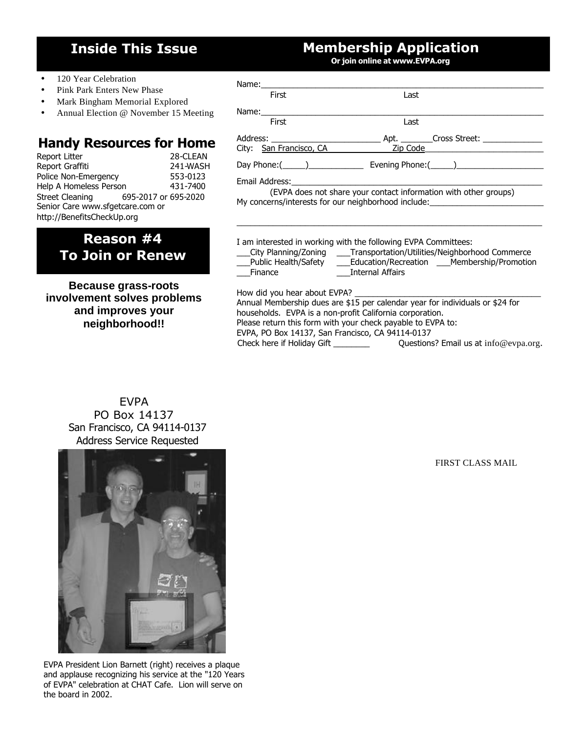# **Inside This Issue**

# **Membership Application**

**Or join online at www.EVPA.org**

- 120 Year Celebration
- Pink Park Enters New Phase
- Mark Bingham Memorial Explored
- Annual Election @ November 15 Meeting

#### **Handy Resources for Home**

| Report Litter                    |                      | 28-CLEAN |  |  |
|----------------------------------|----------------------|----------|--|--|
| Report Graffiti                  |                      | 241-WASH |  |  |
| Police Non-Emergency             |                      | 553-0123 |  |  |
| Help A Homeless Person           |                      | 431-7400 |  |  |
| Street Cleaning                  | 695-2017 or 695-2020 |          |  |  |
| Senior Care www.sfgetcare.com or |                      |          |  |  |
| http://BenefitsCheckUp.org       |                      |          |  |  |

**Reason #4 To Join or Renew**

**Because grass-roots involvement solves problems and improves your neighborhood!!**

#### Name:\_\_\_\_\_\_\_\_\_\_\_\_\_\_\_\_\_\_\_\_\_\_\_\_\_\_\_\_\_\_\_\_\_\_\_\_\_\_\_\_\_\_\_\_\_\_\_\_\_\_\_\_\_\_\_\_\_\_\_\_\_\_ *First Last*  Name:\_\_\_\_\_\_\_\_\_\_\_\_\_\_\_\_\_\_\_\_\_\_\_\_\_\_\_\_\_\_\_\_\_\_\_\_\_\_\_\_\_\_\_\_\_\_\_\_\_\_\_\_\_\_\_\_\_\_\_\_\_\_ *First Last* Address: \_\_\_\_\_\_\_\_\_\_\_\_\_\_\_\_\_\_\_\_\_\_\_\_ Apt. \_\_\_\_\_\_\_Cross Street: \_\_\_\_\_\_\_\_\_\_\_\_\_ City: San Francisco, CA Zip Code Day Phone:(\_\_\_\_\_)\_\_\_\_\_\_\_\_\_\_\_\_ Evening Phone:(\_\_\_\_\_)\_\_\_\_\_\_\_\_\_\_\_\_\_\_\_\_\_\_\_ Email Address:

(EVPA does not share your contact information with other groups) My concerns/interests for our neighborhood include:

I am interested in working with the following EVPA Committees:

| City Planning/Zoning        |                      | Transportation/Utilities/Neighborhood Commerce |
|-----------------------------|----------------------|------------------------------------------------|
| <b>Public Health/Safety</b> | Education/Recreation | Membership/Promotion                           |
| Finance                     | Internal Affairs     |                                                |

 $\_$  ,  $\_$  ,  $\_$  ,  $\_$  ,  $\_$  ,  $\_$  ,  $\_$  ,  $\_$  ,  $\_$  ,  $\_$  ,  $\_$  ,  $\_$  ,  $\_$  ,  $\_$  ,  $\_$  ,  $\_$  ,  $\_$  ,  $\_$  ,  $\_$  ,  $\_$  ,  $\_$  ,  $\_$  ,  $\_$  ,  $\_$  ,  $\_$  ,  $\_$  ,  $\_$  ,  $\_$  ,  $\_$  ,  $\_$  ,  $\_$  ,  $\_$  ,  $\_$  ,  $\_$  ,  $\_$  ,  $\_$  ,  $\_$  ,

How did you hear about EVPA?

Annual Membership dues are \$15 per calendar year for individuals or \$24 for households. EVPA is a non-profit California corporation. Please return this form with your check payable to EVPA to: EVPA, PO Box 14137, San Francisco, CA 94114-0137

Check here if Holiday Gift \_\_\_\_\_\_\_\_\_\_\_\_\_\_\_\_ Questions? Email us at info@evpa.org.

EVPA PO Box 14137 San Francisco, CA 94114-0137 Address Service Requested



EVPA President Lion Barnett (right) receives a plaque and applause recognizing his service at the "120 Years of EVPA" celebration at CHAT Cafe. Lion will serve on the board in 2002.

FIRST CLASS MAIL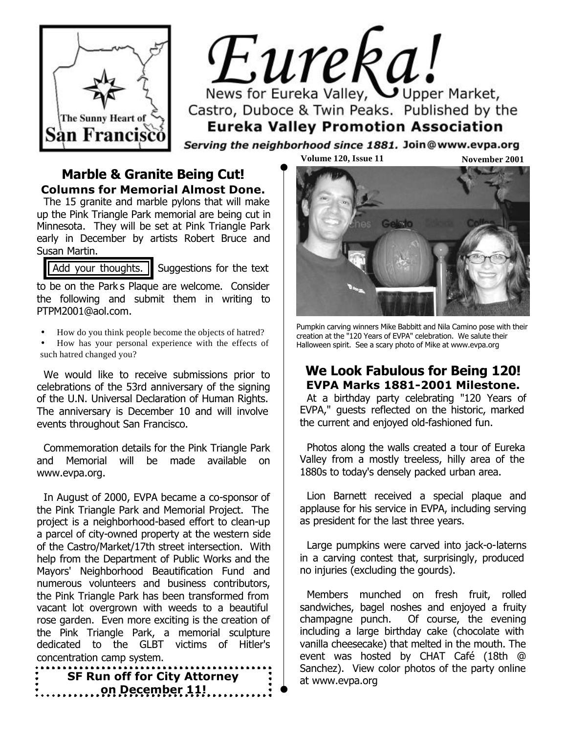

# Eureka! News for Eureka Valley, Upper Market, Castro, Duboce & Twin Peaks. Published by the **Eureka Valley Promotion Association**

Serving the neighborhood since 1881. Join@www.evpa.org

#### **Marble & Granite Being Cut! Columns for Memorial Almost Done.**

The 15 granite and marble pylons that will make up the Pink Triangle Park memorial are being cut in Minnesota. They will be set at Pink Triangle Park early in December by artists Robert Bruce and Susan Martin.

Add your thoughts.  $\parallel$  Suggestions for the text

to be on the Park's Plaque are welcome. Consider the following and submit them in writing to PTPM2001@aol.com.

- How do you think people become the objects of hatred?
- How has your personal experience with the effects of such hatred changed you?

We would like to receive submissions prior to celebrations of the 53rd anniversary of the signing of the U.N. Universal Declaration of Human Rights. The anniversary is December 10 and will involve events throughout San Francisco.

Commemoration details for the Pink Triangle Park and Memorial will be made available on www.evpa.org.

In August of 2000, EVPA became a co-sponsor of the Pink Triangle Park and Memorial Project. The project is a neighborhood-based effort to clean-up a parcel of city-owned property at the western side of the Castro/Market/17th street intersection. With help from the Department of Public Works and the Mayors' Neighborhood Beautification Fund and numerous volunteers and business contributors, the Pink Triangle Park has been transformed from vacant lot overgrown with weeds to a beautiful rose garden. Even more exciting is the creation of the Pink Triangle Park, a memorial sculpture dedicated to the GLBT victims of Hitler's concentration camp system.

at www.evpa.org **SF Run off for City Attorney on December 11!**

**Volume 120, Issue 11** 

**November 2001**



Pumpkin carving winners Mike Babbitt and Nila Camino pose with their creation at the "120 Years of EVPA" celebration. We salute their Halloween spirit. See a scary photo of Mike at www.evpa.org

#### **We Look Fabulous for Being 120! EVPA Marks 1881-2001 Milestone.**

At a birthday party celebrating "120 Years of EVPA," guests reflected on the historic, marked the current and enjoyed old-fashioned fun.

Photos along the walls created a tour of Eureka Valley from a mostly treeless, hilly area of the 1880s to today's densely packed urban area.

Lion Barnett received a special plaque and applause for his service in EVPA, including serving as president for the last three years.

Large pumpkins were carved into jack-o-laterns in a carving contest that, surprisingly, produced no injuries (excluding the gourds).

Members munched on fresh fruit, rolled sandwiches, bagel noshes and enjoyed a fruity champagne punch. Of course, the evening including a large birthday cake (chocolate with vanilla cheesecake) that melted in the mouth. The event was hosted by CHAT Café (18th @ Sanchez). View color photos of the party online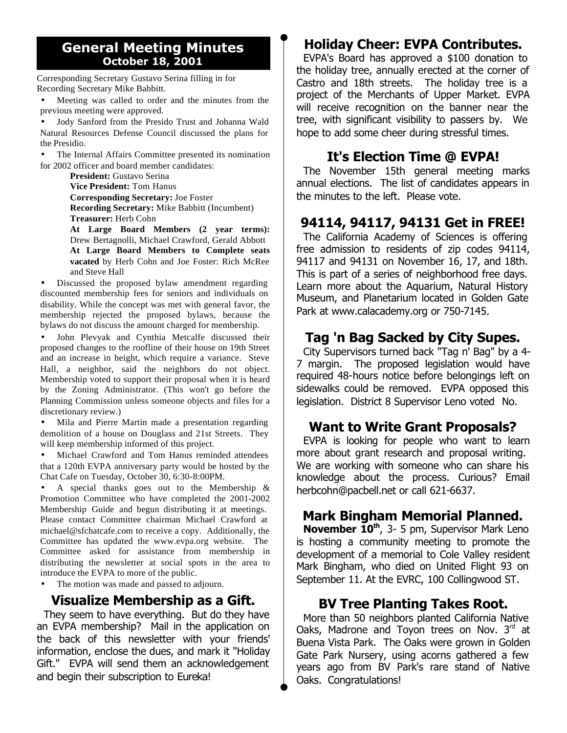#### **General Meeting Minutes October 18, 2001**

Corresponding Secretary Gustavo Serina filling in for Recording Secretary Mike Babbitt.

Meeting was called to order and the minutes from the previous meeting were approved.

• Jody Sanford from the Presido Trust and Johanna Wald Natural Resources Defense Council discussed the plans for the Presidio.

The Internal Affairs Committee presented its nomination for 2002 officer and board member candidates:

**President:** Gustavo Serina **Vice President:** Tom Hanus **Corresponding Secretary:** Joe Foster **Recording Secretary:** Mike Babbitt (Incumbent) **Treasurer:** Herb Cohn

**At Large Board Members (2 year terms):** Drew Bertagnolli, Michael Crawford, Gerald Abbott **At Large Board Members to Complete seats vacated** by Herb Cohn and Joe Foster: Rich McRee and Steve Hall

Discussed the proposed bylaw amendment regarding discounted membership fees for seniors and individuals on disability. While the concept was met with general favor, the membership rejected the proposed bylaws, because the bylaws do not discuss the amount charged for membership.

• John Plevyak and Cynthia Metcalfe discussed their proposed changes to the roofline of their house on 19th Street and an increase in height, which require a variance. Steve Hall, a neighbor, said the neighbors do not object. Membership voted to support their proposal when it is heard by the Zoning Administrator. (This won't go before the Planning Commission unless someone objects and files for a discretionary review.)

• Mila and Pierre Martin made a presentation regarding demolition of a house on Douglass and 21st Streets. They will keep membership informed of this project.

• Michael Crawford and Tom Hanus reminded attendees that a 120th EVPA anniversary party would be hosted by the Chat Cafe on Tuesday, October 30, 6:30-8:00PM.

A special thanks goes out to the Membership  $\&$ Promotion Committee who have completed the 2001-2002 Membership Guide and begun distributing it at meetings. Please contact Committee chairman Michael Crawford at michael@sfchatcafe.com to receive a copy. Additionally, the Committee has updated the www.evpa.org website. The Committee asked for assistance from membership in distributing the newsletter at social spots in the area to introduce the EVPA to more of the public.

The motion was made and passed to adjourn.

#### **Visualize Membership as a Gift.**

They seem to have everything. But do they have an EVPA membership? Mail in the application on the back of this newsletter with your friends' information, enclose the dues, and mark it "Holiday Gift." EVPA will send them an acknowledgement and begin their subscription to *Eureka!*

## **Holiday Cheer: EVPA Contributes.**

EVPA's Board has approved a \$100 donation to the holiday tree, annually erected at the corner of Castro and 18th streets. The holiday tree is a project of the Merchants of Upper Market. EVPA will receive recognition on the banner near the tree, with significant visibility to passers by. We hope to add some cheer during stressful times.

#### **It's Election Time @ EVPA!**

The November 15th general meeting marks annual elections. The list of candidates appears in the minutes to the left. Please vote.

### **94114, 94117, 94131 Get in FREE!**

The California Academy of Sciences is offering free admission to residents of zip codes 94114, 94117 and 94131 on November 16, 17, and 18th. This is part of a series of neighborhood free days. Learn more about the Aquarium, Natural History Museum, and Planetarium located in Golden Gate Park at www.calacademy.org or 750-7145.

#### **Tag 'n Bag Sacked by City Supes.**

City Supervisors turned back "Tag n' Bag" by a 4- 7 margin. The proposed legislation would have required 48-hours notice before belongings left on sidewalks could be removed. EVPA opposed this legislation. District 8 Supervisor Leno voted No.

#### **Want to Write Grant Proposals?**

EVPA is looking for people who want to learn more about grant research and proposal writing. We are working with someone who can share his knowledge about the process. Curious? Email herbcohn@pacbell.net or call 621-6637.

#### **Mark Bingham Memorial Planned.**

**November 10th**, 3- 5 pm, Supervisor Mark Leno is hosting a community meeting to promote the development of a memorial to Cole Valley resident Mark Bingham, who died on United Flight 93 on September 11. At the EVRC, 100 Collingwood ST.

#### **BV Tree Planting Takes Root.**

More than 50 neighbors planted California Native Oaks, Madrone and Toyon trees on Nov.  $3<sup>rd</sup>$  at Buena Vista Park. The Oaks were grown in Golden Gate Park Nursery, using acorns gathered a few years ago from BV Park's rare stand of Native Oaks. Congratulations!